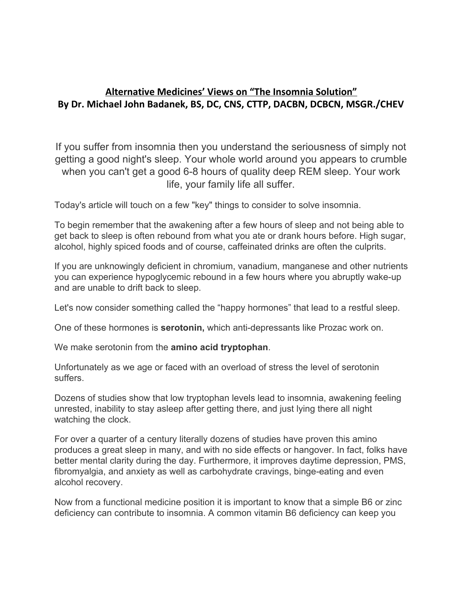## **Alternative Medicines' Views on "The Insomnia Solution" By Dr. Michael John Badanek, BS, DC, CNS, CTTP, DACBN, DCBCN, MSGR./CHEV**

If you suffer from insomnia then you understand the seriousness of simply not getting a good night's sleep. Your whole world around you appears to crumble when you can't get a good 6-8 hours of quality deep REM sleep. Your work life, your family life all suffer.

Today's article will touch on a few "key" things to consider to solve insomnia.

To begin remember that the awakening after a few hours of sleep and not being able to get back to sleep is often rebound from what you ate or drank hours before. High sugar, alcohol, highly spiced foods and of course, caffeinated drinks are often the culprits.

If you are unknowingly deficient in chromium, vanadium, manganese and other nutrients you can experience hypoglycemic rebound in a few hours where you abruptly wake-up and are unable to drift back to sleep.

Let's now consider something called the "happy hormones" that lead to a restful sleep.

One of these hormones is **serotonin,** which anti-depressants like Prozac work on.

We make serotonin from the **amino acid tryptophan**.

Unfortunately as we age or faced with an overload of stress the level of serotonin suffers.

Dozens of studies show that low tryptophan levels lead to insomnia, awakening feeling unrested, inability to stay asleep after getting there, and just lying there all night watching the clock.

For over a quarter of a century literally dozens of studies have proven this amino produces a great sleep in many, and with no side effects or hangover. In fact, folks have better mental clarity during the day. Furthermore, it improves daytime depression, PMS, fibromyalgia, and anxiety as well as carbohydrate cravings, binge-eating and even alcohol recovery.

Now from a functional medicine position it is important to know that a simple B6 or zinc deficiency can contribute to insomnia. A common vitamin B6 deficiency can keep you